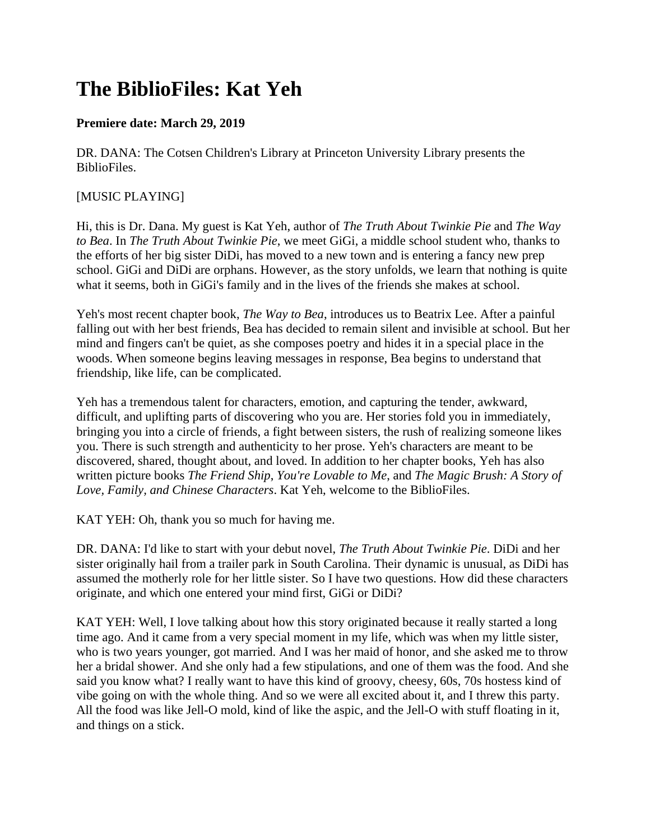## **The BiblioFiles: Kat Yeh**

## **Premiere date: March 29, 2019**

DR. DANA: The Cotsen Children's Library at Princeton University Library presents the BiblioFiles.

## [MUSIC PLAYING]

Hi, this is Dr. Dana. My guest is Kat Yeh, author of *The Truth About Twinkie Pie* and *The Way to Bea*. In *The Truth About Twinkie Pie*, we meet GiGi, a middle school student who, thanks to the efforts of her big sister DiDi, has moved to a new town and is entering a fancy new prep school. GiGi and DiDi are orphans. However, as the story unfolds, we learn that nothing is quite what it seems, both in GiGi's family and in the lives of the friends she makes at school.

Yeh's most recent chapter book, *The Way to Bea*, introduces us to Beatrix Lee. After a painful falling out with her best friends, Bea has decided to remain silent and invisible at school. But her mind and fingers can't be quiet, as she composes poetry and hides it in a special place in the woods. When someone begins leaving messages in response, Bea begins to understand that friendship, like life, can be complicated.

Yeh has a tremendous talent for characters, emotion, and capturing the tender, awkward, difficult, and uplifting parts of discovering who you are. Her stories fold you in immediately, bringing you into a circle of friends, a fight between sisters, the rush of realizing someone likes you. There is such strength and authenticity to her prose. Yeh's characters are meant to be discovered, shared, thought about, and loved. In addition to her chapter books, Yeh has also written picture books *The Friend Ship*, *You're Lovable to Me*, and *The Magic Brush: A Story of Love, Family, and Chinese Characters*. Kat Yeh, welcome to the BiblioFiles.

KAT YEH: Oh, thank you so much for having me.

DR. DANA: I'd like to start with your debut novel, *The Truth About Twinkie Pie*. DiDi and her sister originally hail from a trailer park in South Carolina. Their dynamic is unusual, as DiDi has assumed the motherly role for her little sister. So I have two questions. How did these characters originate, and which one entered your mind first, GiGi or DiDi?

KAT YEH: Well, I love talking about how this story originated because it really started a long time ago. And it came from a very special moment in my life, which was when my little sister, who is two years younger, got married. And I was her maid of honor, and she asked me to throw her a bridal shower. And she only had a few stipulations, and one of them was the food. And she said you know what? I really want to have this kind of groovy, cheesy, 60s, 70s hostess kind of vibe going on with the whole thing. And so we were all excited about it, and I threw this party. All the food was like Jell-O mold, kind of like the aspic, and the Jell-O with stuff floating in it, and things on a stick.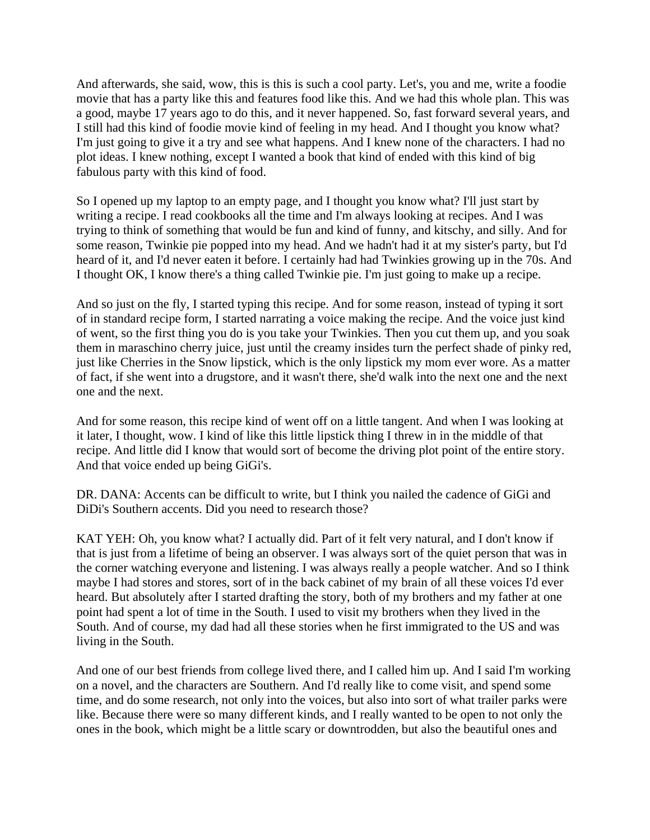And afterwards, she said, wow, this is this is such a cool party. Let's, you and me, write a foodie movie that has a party like this and features food like this. And we had this whole plan. This was a good, maybe 17 years ago to do this, and it never happened. So, fast forward several years, and I still had this kind of foodie movie kind of feeling in my head. And I thought you know what? I'm just going to give it a try and see what happens. And I knew none of the characters. I had no plot ideas. I knew nothing, except I wanted a book that kind of ended with this kind of big fabulous party with this kind of food.

So I opened up my laptop to an empty page, and I thought you know what? I'll just start by writing a recipe. I read cookbooks all the time and I'm always looking at recipes. And I was trying to think of something that would be fun and kind of funny, and kitschy, and silly. And for some reason, Twinkie pie popped into my head. And we hadn't had it at my sister's party, but I'd heard of it, and I'd never eaten it before. I certainly had had Twinkies growing up in the 70s. And I thought OK, I know there's a thing called Twinkie pie. I'm just going to make up a recipe.

And so just on the fly, I started typing this recipe. And for some reason, instead of typing it sort of in standard recipe form, I started narrating a voice making the recipe. And the voice just kind of went, so the first thing you do is you take your Twinkies. Then you cut them up, and you soak them in maraschino cherry juice, just until the creamy insides turn the perfect shade of pinky red, just like Cherries in the Snow lipstick, which is the only lipstick my mom ever wore. As a matter of fact, if she went into a drugstore, and it wasn't there, she'd walk into the next one and the next one and the next.

And for some reason, this recipe kind of went off on a little tangent. And when I was looking at it later, I thought, wow. I kind of like this little lipstick thing I threw in in the middle of that recipe. And little did I know that would sort of become the driving plot point of the entire story. And that voice ended up being GiGi's.

DR. DANA: Accents can be difficult to write, but I think you nailed the cadence of GiGi and DiDi's Southern accents. Did you need to research those?

KAT YEH: Oh, you know what? I actually did. Part of it felt very natural, and I don't know if that is just from a lifetime of being an observer. I was always sort of the quiet person that was in the corner watching everyone and listening. I was always really a people watcher. And so I think maybe I had stores and stores, sort of in the back cabinet of my brain of all these voices I'd ever heard. But absolutely after I started drafting the story, both of my brothers and my father at one point had spent a lot of time in the South. I used to visit my brothers when they lived in the South. And of course, my dad had all these stories when he first immigrated to the US and was living in the South.

And one of our best friends from college lived there, and I called him up. And I said I'm working on a novel, and the characters are Southern. And I'd really like to come visit, and spend some time, and do some research, not only into the voices, but also into sort of what trailer parks were like. Because there were so many different kinds, and I really wanted to be open to not only the ones in the book, which might be a little scary or downtrodden, but also the beautiful ones and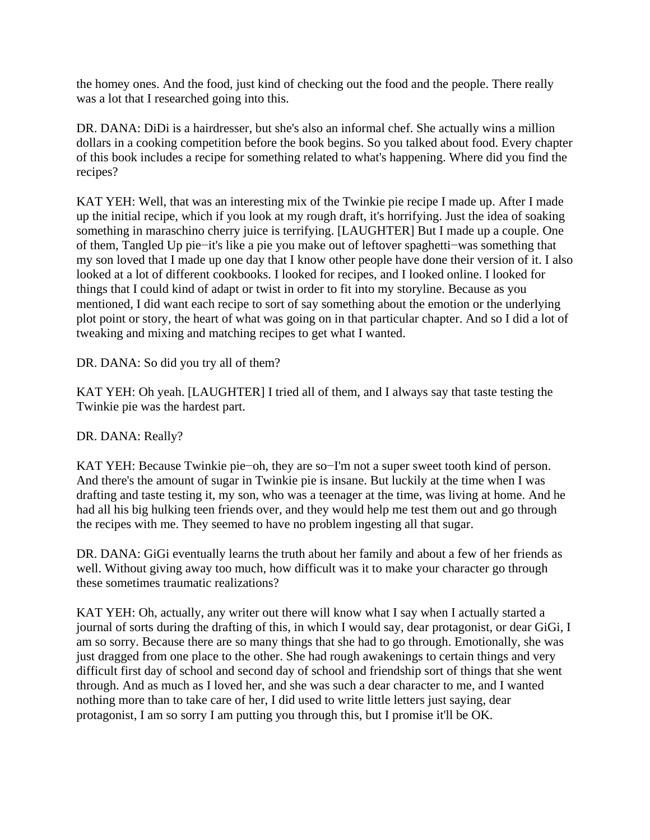the homey ones. And the food, just kind of checking out the food and the people. There really was a lot that I researched going into this.

DR. DANA: DiDi is a hairdresser, but she's also an informal chef. She actually wins a million dollars in a cooking competition before the book begins. So you talked about food. Every chapter of this book includes a recipe for something related to what's happening. Where did you find the recipes?

KAT YEH: Well, that was an interesting mix of the Twinkie pie recipe I made up. After I made up the initial recipe, which if you look at my rough draft, it's horrifying. Just the idea of soaking something in maraschino cherry juice is terrifying. [LAUGHTER] But I made up a couple. One of them, Tangled Up pie−it's like a pie you make out of leftover spaghetti−was something that my son loved that I made up one day that I know other people have done their version of it. I also looked at a lot of different cookbooks. I looked for recipes, and I looked online. I looked for things that I could kind of adapt or twist in order to fit into my storyline. Because as you mentioned, I did want each recipe to sort of say something about the emotion or the underlying plot point or story, the heart of what was going on in that particular chapter. And so I did a lot of tweaking and mixing and matching recipes to get what I wanted.

DR. DANA: So did you try all of them?

KAT YEH: Oh yeah. [LAUGHTER] I tried all of them, and I always say that taste testing the Twinkie pie was the hardest part.

DR. DANA: Really?

KAT YEH: Because Twinkie pie−oh, they are so−I'm not a super sweet tooth kind of person. And there's the amount of sugar in Twinkie pie is insane. But luckily at the time when I was drafting and taste testing it, my son, who was a teenager at the time, was living at home. And he had all his big hulking teen friends over, and they would help me test them out and go through the recipes with me. They seemed to have no problem ingesting all that sugar.

DR. DANA: GiGi eventually learns the truth about her family and about a few of her friends as well. Without giving away too much, how difficult was it to make your character go through these sometimes traumatic realizations?

KAT YEH: Oh, actually, any writer out there will know what I say when I actually started a journal of sorts during the drafting of this, in which I would say, dear protagonist, or dear GiGi, I am so sorry. Because there are so many things that she had to go through. Emotionally, she was just dragged from one place to the other. She had rough awakenings to certain things and very difficult first day of school and second day of school and friendship sort of things that she went through. And as much as I loved her, and she was such a dear character to me, and I wanted nothing more than to take care of her, I did used to write little letters just saying, dear protagonist, I am so sorry I am putting you through this, but I promise it'll be OK.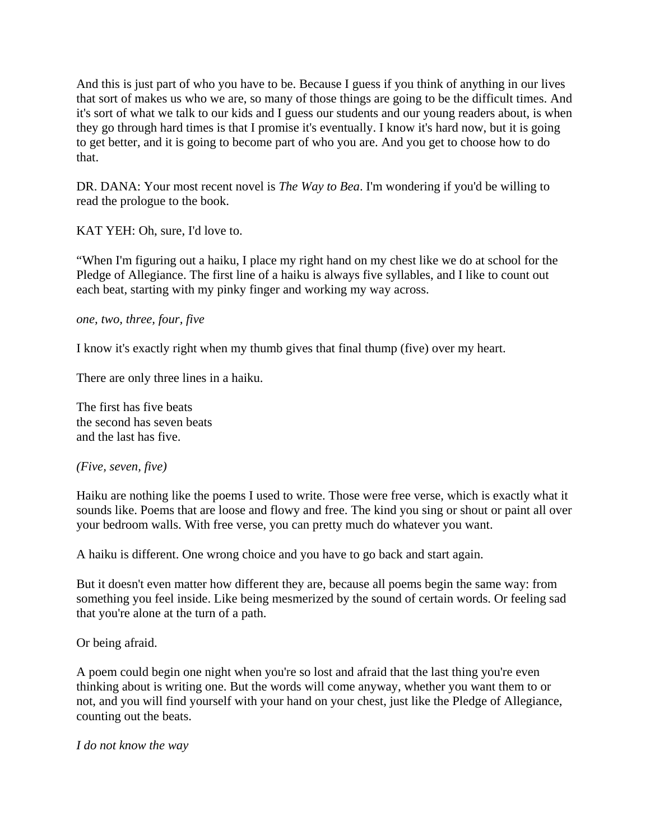And this is just part of who you have to be. Because I guess if you think of anything in our lives that sort of makes us who we are, so many of those things are going to be the difficult times. And it's sort of what we talk to our kids and I guess our students and our young readers about, is when they go through hard times is that I promise it's eventually. I know it's hard now, but it is going to get better, and it is going to become part of who you are. And you get to choose how to do that.

DR. DANA: Your most recent novel is *The Way to Bea*. I'm wondering if you'd be willing to read the prologue to the book.

KAT YEH: Oh, sure, I'd love to.

"When I'm figuring out a haiku, I place my right hand on my chest like we do at school for the Pledge of Allegiance. The first line of a haiku is always five syllables, and I like to count out each beat, starting with my pinky finger and working my way across.

*one, two, three, four, five*

I know it's exactly right when my thumb gives that final thump (five) over my heart.

There are only three lines in a haiku.

The first has five beats the second has seven beats and the last has five.

*(Five, seven, five)*

Haiku are nothing like the poems I used to write. Those were free verse, which is exactly what it sounds like. Poems that are loose and flowy and free. The kind you sing or shout or paint all over your bedroom walls. With free verse, you can pretty much do whatever you want.

A haiku is different. One wrong choice and you have to go back and start again.

But it doesn't even matter how different they are, because all poems begin the same way: from something you feel inside. Like being mesmerized by the sound of certain words. Or feeling sad that you're alone at the turn of a path.

Or being afraid.

A poem could begin one night when you're so lost and afraid that the last thing you're even thinking about is writing one. But the words will come anyway, whether you want them to or not, and you will find yourself with your hand on your chest, just like the Pledge of Allegiance, counting out the beats.

*I do not know the way*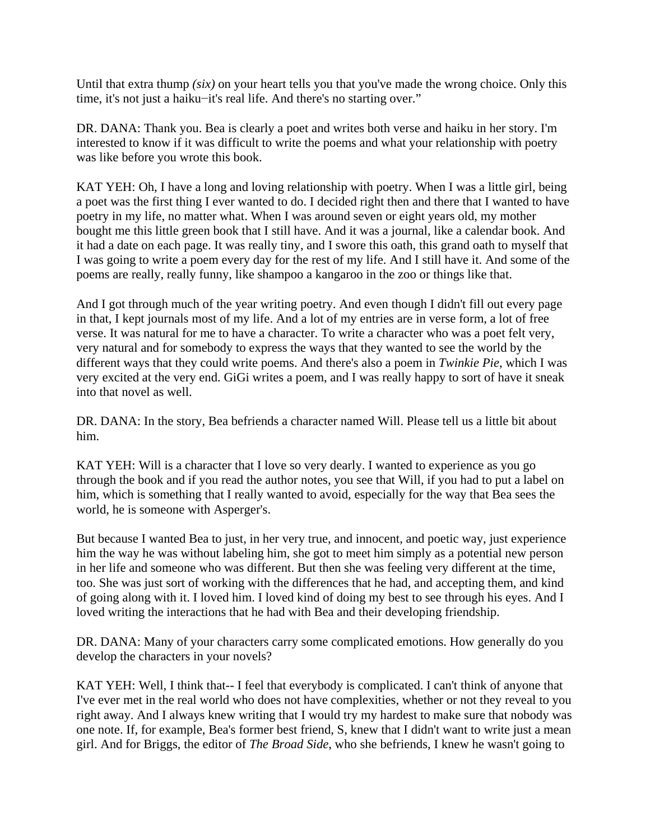Until that extra thump *(six)* on your heart tells you that you've made the wrong choice. Only this time, it's not just a haiku−it's real life. And there's no starting over."

DR. DANA: Thank you. Bea is clearly a poet and writes both verse and haiku in her story. I'm interested to know if it was difficult to write the poems and what your relationship with poetry was like before you wrote this book.

KAT YEH: Oh, I have a long and loving relationship with poetry. When I was a little girl, being a poet was the first thing I ever wanted to do. I decided right then and there that I wanted to have poetry in my life, no matter what. When I was around seven or eight years old, my mother bought me this little green book that I still have. And it was a journal, like a calendar book. And it had a date on each page. It was really tiny, and I swore this oath, this grand oath to myself that I was going to write a poem every day for the rest of my life. And I still have it. And some of the poems are really, really funny, like shampoo a kangaroo in the zoo or things like that.

And I got through much of the year writing poetry. And even though I didn't fill out every page in that, I kept journals most of my life. And a lot of my entries are in verse form, a lot of free verse. It was natural for me to have a character. To write a character who was a poet felt very, very natural and for somebody to express the ways that they wanted to see the world by the different ways that they could write poems. And there's also a poem in *Twinkie Pie*, which I was very excited at the very end. GiGi writes a poem, and I was really happy to sort of have it sneak into that novel as well.

DR. DANA: In the story, Bea befriends a character named Will. Please tell us a little bit about him.

KAT YEH: Will is a character that I love so very dearly. I wanted to experience as you go through the book and if you read the author notes, you see that Will, if you had to put a label on him, which is something that I really wanted to avoid, especially for the way that Bea sees the world, he is someone with Asperger's.

But because I wanted Bea to just, in her very true, and innocent, and poetic way, just experience him the way he was without labeling him, she got to meet him simply as a potential new person in her life and someone who was different. But then she was feeling very different at the time, too. She was just sort of working with the differences that he had, and accepting them, and kind of going along with it. I loved him. I loved kind of doing my best to see through his eyes. And I loved writing the interactions that he had with Bea and their developing friendship.

DR. DANA: Many of your characters carry some complicated emotions. How generally do you develop the characters in your novels?

KAT YEH: Well, I think that-- I feel that everybody is complicated. I can't think of anyone that I've ever met in the real world who does not have complexities, whether or not they reveal to you right away. And I always knew writing that I would try my hardest to make sure that nobody was one note. If, for example, Bea's former best friend, S, knew that I didn't want to write just a mean girl. And for Briggs, the editor of *The Broad Side*, who she befriends, I knew he wasn't going to